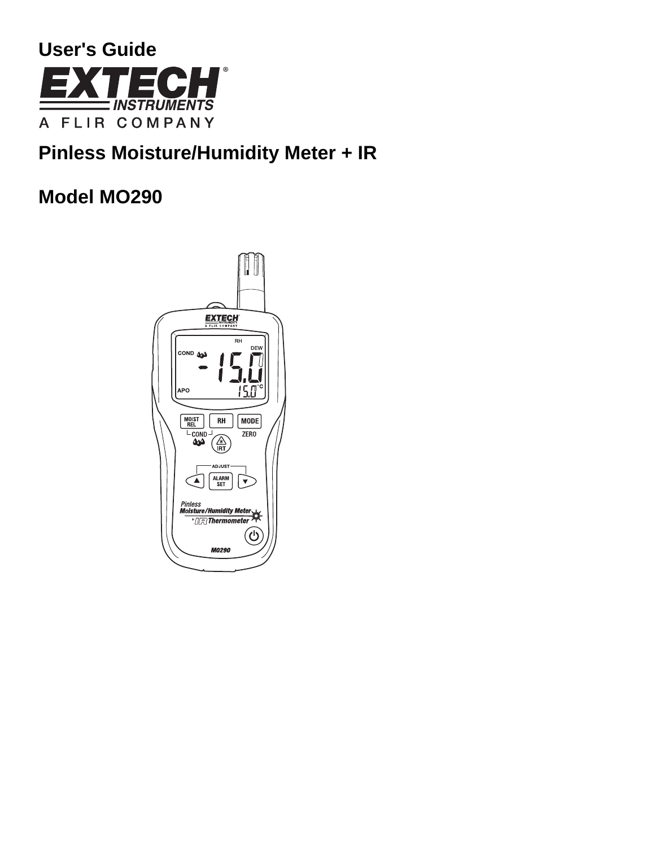

# **Pinless Moisture/Humidity Meter + IR**

# **Model MO290**

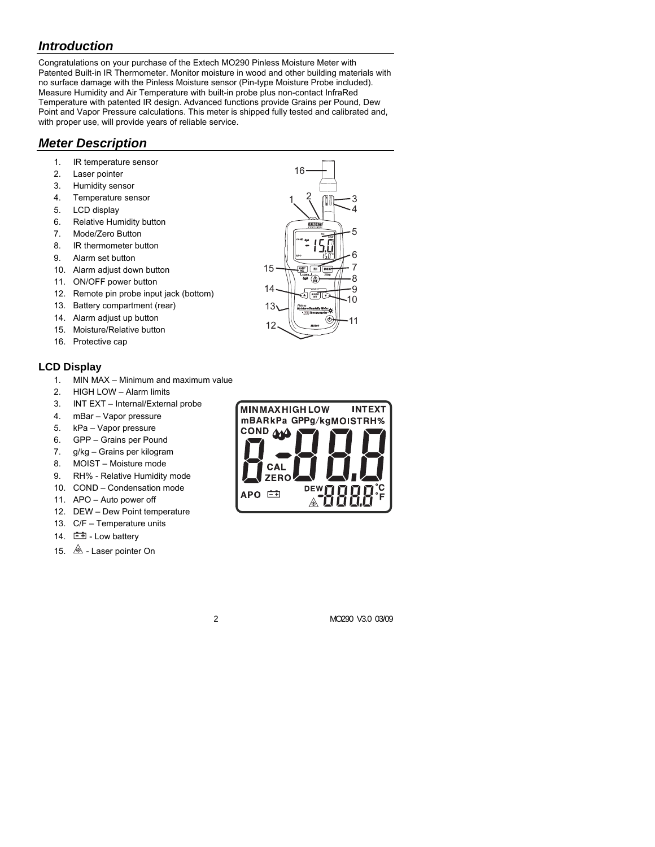## *Introduction*

Congratulations on your purchase of the Extech MO290 Pinless Moisture Meter with Patented Built-in IR Thermometer. Monitor moisture in wood and other building materials with no surface damage with the Pinless Moisture sensor (Pin-type Moisture Probe included). Measure Humidity and Air Temperature with built-in probe plus non-contact InfraRed Temperature with patented IR design. Advanced functions provide Grains per Pound, Dew Point and Vapor Pressure calculations. This meter is shipped fully tested and calibrated and, with proper use, will provide years of reliable service.

## *Meter Description*

- 1. IR temperature sensor
- 2. Laser pointer
- 3. Humidity sensor
- 4. Temperature sensor
- 5. LCD display
- 6. Relative Humidity button
- 7. Mode/Zero Button
- 8. IR thermometer button
- 9. Alarm set button
- 10. Alarm adjust down button
- 11. ON/OFF power button
- 12. Remote pin probe input jack (bottom)
- 13. Battery compartment (rear)
- 14. Alarm adjust up button
- 15. Moisture/Relative button
- 16. Protective cap

### **LCD Display**

- 1. MIN MAX Minimum and maximum value
- 2. HIGH LOW Alarm limits
- 3. INT EXT Internal/External probe
- 4. mBar Vapor pressure
- 5. kPa Vapor pressure
- 6. GPP Grains per Pound
- 7. g/kg Grains per kilogram
- 8. MOIST Moisture mode
- 9. RH% Relative Humidity mode
- 10. COND Condensation mode
- 11. APO Auto power off
- 12. DEW Dew Point temperature
- 13. C/F Temperature units
- 14.  $\Box$  Low battery
- 15.  $\triangle$  Laser pointer On



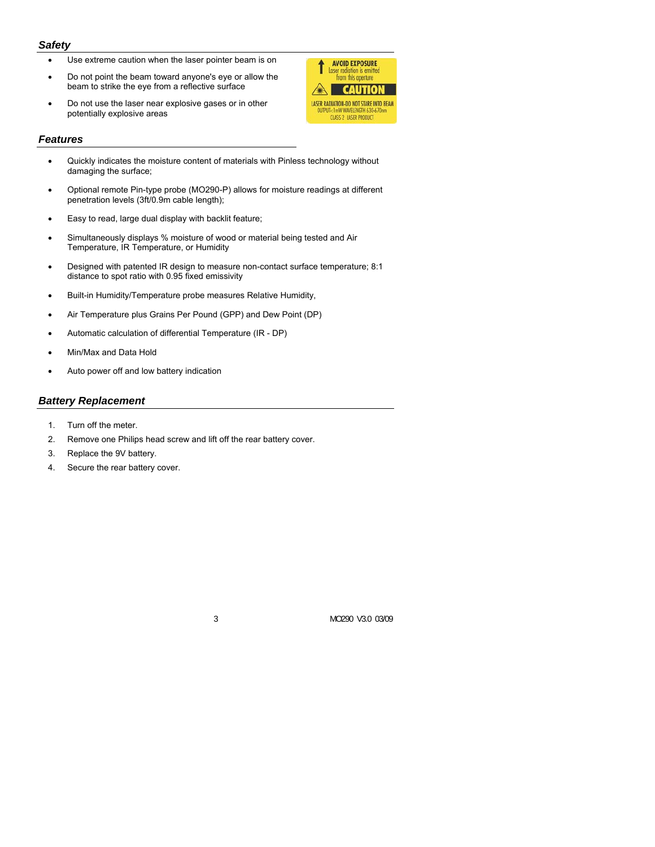#### *Safety*

- Use extreme caution when the laser pointer beam is on
- Do not point the beam toward anyone's eye or allow the beam to strike the eye from a reflective surface
- Do not use the laser near explosive gases or in other potentially explosive areas

#### *Features*

- Quickly indicates the moisture content of materials with Pinless technology without damaging the surface;
- Optional remote Pin-type probe (MO290-P) allows for moisture readings at different penetration levels (3ft/0.9m cable length);
- Easy to read, large dual display with backlit feature;
- Simultaneously displays % moisture of wood or material being tested and Air Temperature, IR Temperature, or Humidity
- Designed with patented IR design to measure non-contact surface temperature; 8:1 distance to spot ratio with 0.95 fixed emissivity
- Built-in Humidity/Temperature probe measures Relative Humidity,
- Air Temperature plus Grains Per Pound (GPP) and Dew Point (DP)
- Automatic calculation of differential Temperature (IR DP)
- Min/Max and Data Hold
- Auto power off and low battery indication

#### *Battery Replacement*

- 1. Turn off the meter.
- 2. Remove one Philips head screw and lift off the rear battery cover.
- 3. Replace the 9V battery.
- 4. Secure the rear battery cover.



3 MO290 V3.0 03/09

**AVOID EXPOSURE** 

Loser rodigion is emitted<br>from this operture **CAUTION** 

**LASER RADIATION-DO NOT STARE INTO BEAM** T<1mW WAVELENGTH 630-6<br>CLASS 2 LASER PRODUCT

1

A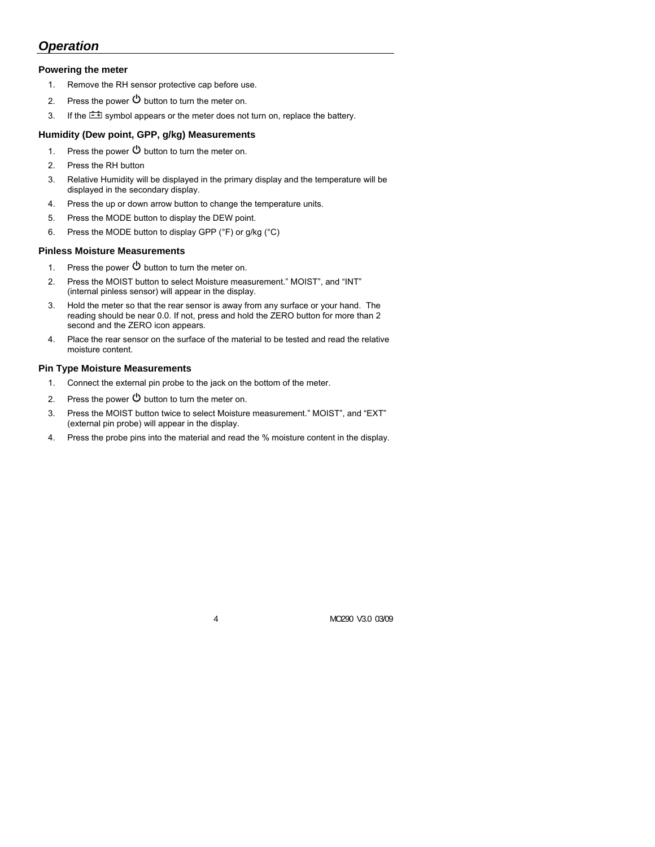## *Operation*

#### **Powering the meter**

- 1. Remove the RH sensor protective cap before use.
- 2. Press the power  $\Phi$  button to turn the meter on.
- 3. If the  $\pm$  symbol appears or the meter does not turn on, replace the battery.

#### **Humidity (Dew point, GPP, g/kg) Measurements**

- 1. Press the power  $\Theta$  button to turn the meter on.
- 2. Press the RH button
- 3. Relative Humidity will be displayed in the primary display and the temperature will be displayed in the secondary display.
- 4. Press the up or down arrow button to change the temperature units.
- 5. Press the MODE button to display the DEW point.
- 6. Press the MODE button to display GPP ( ${}^{\circ}$ F) or g/kg ( ${}^{\circ}$ C)

#### **Pinless Moisture Measurements**

- 1. Press the power  $\Phi$  button to turn the meter on.
- 2. Press the MOIST button to select Moisture measurement." MOIST", and "INT" (internal pinless sensor) will appear in the display.
- 3. Hold the meter so that the rear sensor is away from any surface or your hand. The reading should be near 0.0. If not, press and hold the ZERO button for more than 2 second and the ZERO icon appears.
- 4. Place the rear sensor on the surface of the material to be tested and read the relative moisture content.

#### **Pin Type Moisture Measurements**

- 1. Connect the external pin probe to the jack on the bottom of the meter.
- 2. Press the power  $\Phi$  button to turn the meter on.
- 3. Press the MOIST button twice to select Moisture measurement." MOIST", and "EXT" (external pin probe) will appear in the display.
- 4. Press the probe pins into the material and read the % moisture content in the display.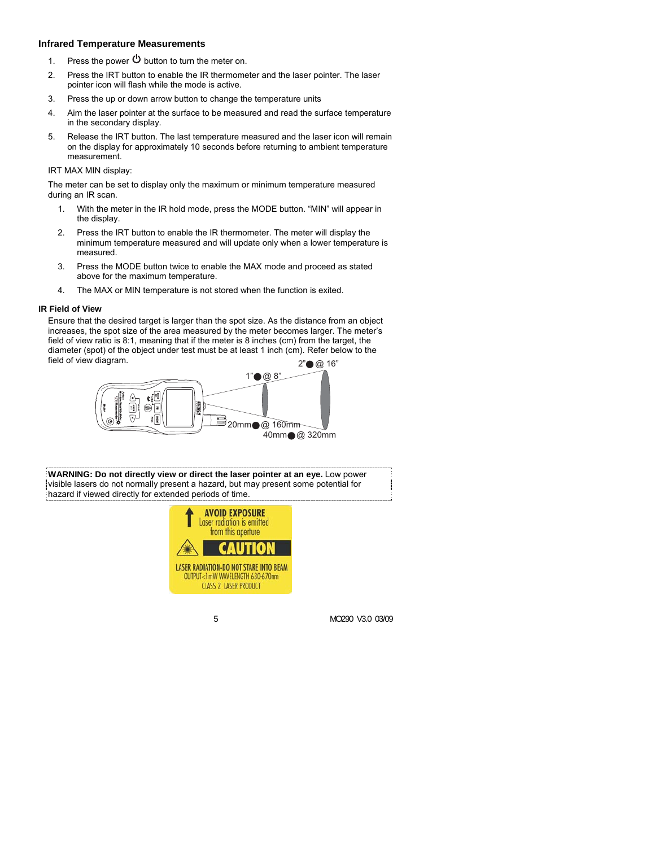#### **Infrared Temperature Measurements**

- 1. Press the power  $\Theta$  button to turn the meter on.
- 2. Press the IRT button to enable the IR thermometer and the laser pointer. The laser pointer icon will flash while the mode is active.
- 3. Press the up or down arrow button to change the temperature units
- 4. Aim the laser pointer at the surface to be measured and read the surface temperature in the secondary display.
- 5. Release the IRT button. The last temperature measured and the laser icon will remain on the display for approximately 10 seconds before returning to ambient temperature measurement.

#### IRT MAX MIN display:

The meter can be set to display only the maximum or minimum temperature measured during an IR scan.

- 1. With the meter in the IR hold mode, press the MODE button. "MIN" will appear in the display.
- 2. Press the IRT button to enable the IR thermometer. The meter will display the minimum temperature measured and will update only when a lower temperature is measured.
- 3. Press the MODE button twice to enable the MAX mode and proceed as stated above for the maximum temperature.
- 4. The MAX or MIN temperature is not stored when the function is exited.

#### **IR Field of View**

Ensure that the desired target is larger than the spot size. As the distance from an object increases, the spot size of the area measured by the meter becomes larger. The meter's field of view ratio is 8:1, meaning that if the meter is 8 inches (cm) from the target, the diameter (spot) of the object under test must be at least 1 inch (cm). Refer below to the field of view diagram.  $2" \odot @ 16"$ 



**WARNING: Do not directly view or direct the laser pointer at an eye.** Low power visible lasers do not normally present a hazard, but may present some potential for hazard if viewed directly for extended periods of time.

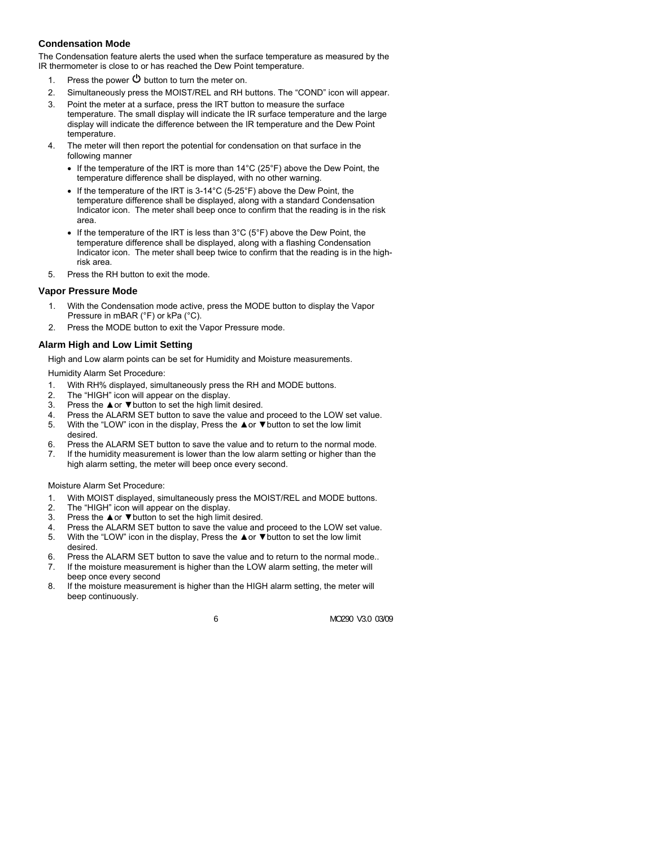#### **Condensation Mode**

The Condensation feature alerts the used when the surface temperature as measured by the IR thermometer is close to or has reached the Dew Point temperature.

- 1. Press the power  $\Phi$  button to turn the meter on.
- 2. Simultaneously press the MOIST/REL and RH buttons. The "COND" icon will appear.
- 3. Point the meter at a surface, press the IRT button to measure the surface temperature. The small display will indicate the IR surface temperature and the large display will indicate the difference between the IR temperature and the Dew Point temperature.
- 4. The meter will then report the potential for condensation on that surface in the following manner
	- If the temperature of the IRT is more than 14°C (25°F) above the Dew Point, the temperature difference shall be displayed, with no other warning.
	- If the temperature of the IRT is 3-14°C (5-25°F) above the Dew Point, the temperature difference shall be displayed, along with a standard Condensation Indicator icon. The meter shall beep once to confirm that the reading is in the risk area.
	- If the temperature of the IRT is less than  $3^{\circ}$ C ( $5^{\circ}$ F) above the Dew Point, the temperature difference shall be displayed, along with a flashing Condensation Indicator icon. The meter shall beep twice to confirm that the reading is in the highrisk area.
- 5. Press the RH button to exit the mode.

#### **Vapor Pressure Mode**

- 1. With the Condensation mode active, press the MODE button to display the Vapor Pressure in mBAR (°F) or kPa (°C).
- 2. Press the MODE button to exit the Vapor Pressure mode.

#### **Alarm High and Low Limit Setting**

High and Low alarm points can be set for Humidity and Moisture measurements.

Humidity Alarm Set Procedure:

- 1. With RH% displayed, simultaneously press the RH and MODE buttons.
- 2. The "HIGH" icon will appear on the display.
- 3. Press the ▲or ▼button to set the high limit desired.
- 4. Press the ALARM SET button to save the value and proceed to the LOW set value.<br>5. With the "LOW" icon in the display. Press the A or  $\nabla$  button to set the low limit
- With the "LOW" icon in the display, Press the ▲or ▼button to set the low limit desired.
- 6. Press the ALARM SET button to save the value and to return to the normal mode.
- 7. If the humidity measurement is lower than the low alarm setting or higher than the high alarm setting, the meter will beep once every second.

#### Moisture Alarm Set Procedure:

- 1. With MOIST displayed, simultaneously press the MOIST/REL and MODE buttons.
- 2. The "HIGH" icon will appear on the display.
- 3. Press the  $\triangle$  or  $\Psi$  button to set the high limit desired.<br>4. Press the ALARM SFT button to save the value and
- Press the ALARM SET button to save the value and proceed to the LOW set value.
- 5. With the "LOW" icon in the display, Press the ▲or ▼button to set the low limit desired.
- 6. Press the ALARM SET button to save the value and to return to the normal mode..
- 7. If the moisture measurement is higher than the LOW alarm setting, the meter will beep once every second
- 8. If the moisture measurement is higher than the HIGH alarm setting, the meter will beep continuously.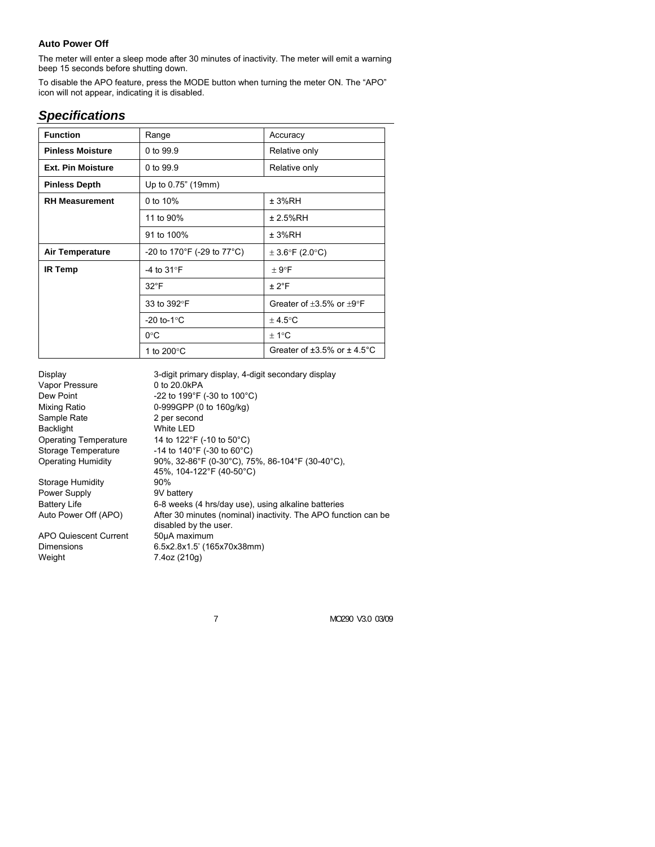### **Auto Power Off**

The meter will enter a sleep mode after 30 minutes of inactivity. The meter will emit a warning beep 15 seconds before shutting down.

To disable the APO feature, press the MODE button when turning the meter ON. The "APO" icon will not appear, indicating it is disabled.

# *Specifications*

| <b>Function</b>          | Range                         | Accuracy                                     |
|--------------------------|-------------------------------|----------------------------------------------|
| <b>Pinless Moisture</b>  | 0 to 99.9                     | Relative only                                |
| <b>Ext. Pin Moisture</b> | 0 to 99.9                     | Relative only                                |
| <b>Pinless Depth</b>     | Up to 0.75" (19mm)            |                                              |
| <b>RH Measurement</b>    | 0 to 10%                      | ± 3%RH                                       |
|                          | 11 to 90%                     | ± 2.5%RH                                     |
|                          | 91 to 100%                    | ± 3%RH                                       |
| <b>Air Temperature</b>   | -20 to 170°F (-29 to 77°C)    | $\pm$ 3.6°F (2.0°C)                          |
| <b>IR Temp</b>           | -4 to $31^{\circ}$ F          | ± 9°F                                        |
|                          | $32^{\circ}$ F                | ± 2°F                                        |
|                          | 33 to 392°F                   | Greater of $+3.5\%$ or $+9^{\circ}F$         |
|                          | -20 to-1 $\degree$ C          | $± 4.5$ °C                                   |
|                          | $0^{\circ}$ C                 | $+1^{\circ}C$                                |
|                          | 1 to 200 $\mathrm{^{\circ}C}$ | Greater of $\pm 3.5\%$ or $\pm 4.5\degree$ C |

| Display                      | 3-digit primary display, 4-digit secondary display                                      |  |
|------------------------------|-----------------------------------------------------------------------------------------|--|
| Vapor Pressure               | 0 to 20.0kPA                                                                            |  |
| Dew Point                    | -22 to 199 $\degree$ F (-30 to 100 $\degree$ C)                                         |  |
| Mixing Ratio                 | 0-999GPP (0 to 160g/kg)                                                                 |  |
| Sample Rate                  | 2 per second                                                                            |  |
| <b>Backlight</b>             | White LED                                                                               |  |
| <b>Operating Temperature</b> | 14 to 122°F (-10 to 50°C)                                                               |  |
| Storage Temperature          | -14 to 140°F (-30 to 60°C)                                                              |  |
| <b>Operating Humidity</b>    | 90%, 32-86°F (0-30°C), 75%, 86-104°F (30-40°C),                                         |  |
|                              | 45%, 104-122°F (40-50°C)                                                                |  |
| Storage Humidity             | 90%                                                                                     |  |
| Power Supply                 | 9V battery                                                                              |  |
| <b>Battery Life</b>          | 6-8 weeks (4 hrs/day use), using alkaline batteries                                     |  |
| Auto Power Off (APO)         | After 30 minutes (nominal) inactivity. The APO function can be<br>disabled by the user. |  |
| APO Quiescent Current        | 50µA maximum                                                                            |  |
| Dimensions                   | 6.5x2.8x1.5' (165x70x38mm)                                                              |  |
| Weight                       | 7.4oz (210g)                                                                            |  |